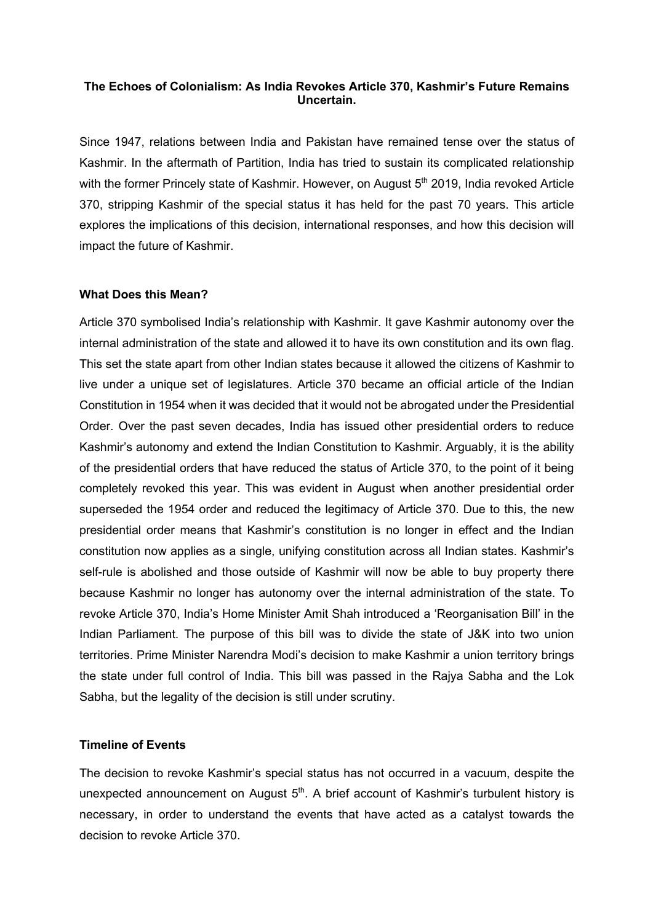# **The Echoes of Colonialism: As India Revokes Article 370, Kashmir's Future Remains Uncertain.**

Since 1947, relations between India and Pakistan have remained tense over the status of Kashmir. In the aftermath of Partition, India has tried to sustain its complicated relationship with the former Princely state of Kashmir. However, on August 5<sup>th</sup> 2019, India revoked Article 370, stripping Kashmir of the special status it has held for the past 70 years. This article explores the implications of this decision, international responses, and how this decision will impact the future of Kashmir.

## **What Does this Mean?**

Article 370 symbolised India's relationship with Kashmir. It gave Kashmir autonomy over the internal administration of the state and allowed it to have its own constitution and its own flag. This set the state apart from other Indian states because it allowed the citizens of Kashmir to live under a unique set of legislatures. Article 370 became an official article of the Indian Constitution in 1954 when it was decided that it would not be abrogated under the Presidential Order. Over the past seven decades, India has issued other presidential orders to reduce Kashmir's autonomy and extend the Indian Constitution to Kashmir. Arguably, it is the ability of the presidential orders that have reduced the status of Article 370, to the point of it being completely revoked this year. This was evident in August when another presidential order superseded the 1954 order and reduced the legitimacy of Article 370. Due to this, the new presidential order means that Kashmir's constitution is no longer in effect and the Indian constitution now applies as a single, unifying constitution across all Indian states. Kashmir's self-rule is abolished and those outside of Kashmir will now be able to buy property there because Kashmir no longer has autonomy over the internal administration of the state. To revoke Article 370, India's Home Minister Amit Shah introduced a 'Reorganisation Bill' in the Indian Parliament. The purpose of this bill was to divide the state of J&K into two union territories. Prime Minister Narendra Modi's decision to make Kashmir a union territory brings the state under full control of India. This bill was passed in the Rajya Sabha and the Lok Sabha, but the legality of the decision is still under scrutiny.

## **Timeline of Events**

The decision to revoke Kashmir's special status has not occurred in a vacuum, despite the unexpected announcement on August  $5<sup>th</sup>$ . A brief account of Kashmir's turbulent history is necessary, in order to understand the events that have acted as a catalyst towards the decision to revoke Article 370.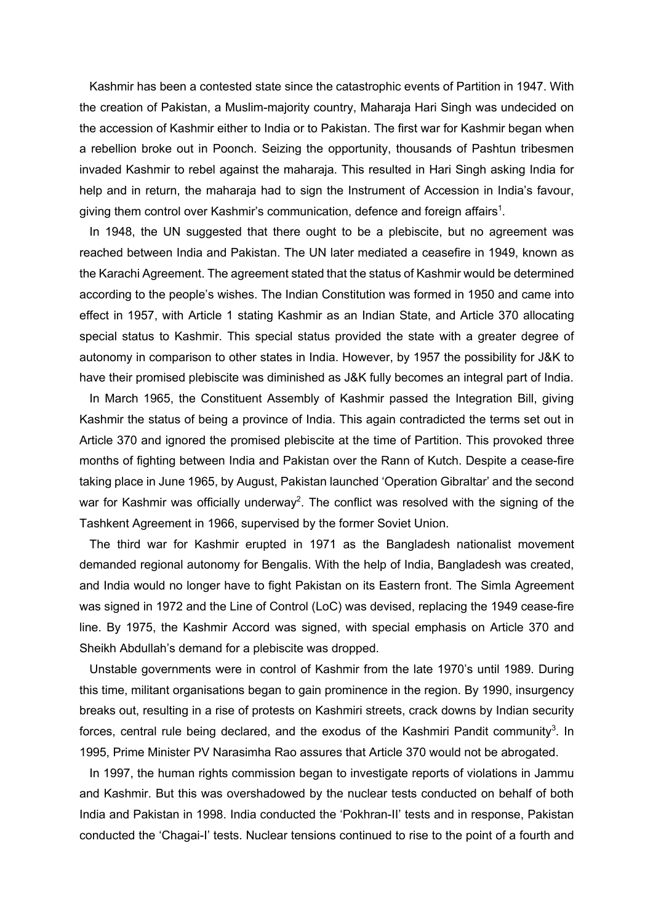Kashmir has been a contested state since the catastrophic events of Partition in 1947. With the creation of Pakistan, a Muslim-majority country, Maharaja Hari Singh was undecided on the accession of Kashmir either to India or to Pakistan. The first war for Kashmir began when a rebellion broke out in Poonch. Seizing the opportunity, thousands of Pashtun tribesmen invaded Kashmir to rebel against the maharaja. This resulted in Hari Singh asking India for help and in return, the maharaja had to sign the Instrument of Accession in India's favour, giving them control over Kashmir's communication, defence and foreign affairs $^{\rm 1}$ .

 In 1948, the UN suggested that there ought to be a plebiscite, but no agreement was reached between India and Pakistan. The UN later mediated a ceasefire in 1949, known as the Karachi Agreement. The agreement stated that the status of Kashmir would be determined according to the people's wishes. The Indian Constitution was formed in 1950 and came into effect in 1957, with Article 1 stating Kashmir as an Indian State, and Article 370 allocating special status to Kashmir. This special status provided the state with a greater degree of autonomy in comparison to other states in India. However, by 1957 the possibility for J&K to have their promised plebiscite was diminished as J&K fully becomes an integral part of India.

 In March 1965, the Constituent Assembly of Kashmir passed the Integration Bill, giving Kashmir the status of being a province of India. This again contradicted the terms set out in Article 370 and ignored the promised plebiscite at the time of Partition. This provoked three months of fighting between India and Pakistan over the Rann of Kutch. Despite a cease-fire taking place in June 1965, by August, Pakistan launched 'Operation Gibraltar' and the second war for Kashmir was officially underway<sup>2</sup>. The conflict was resolved with the signing of the Tashkent Agreement in 1966, supervised by the former Soviet Union.

 The third war for Kashmir erupted in 1971 as the Bangladesh nationalist movement demanded regional autonomy for Bengalis. With the help of India, Bangladesh was created, and India would no longer have to fight Pakistan on its Eastern front. The Simla Agreement was signed in 1972 and the Line of Control (LoC) was devised, replacing the 1949 cease-fire line. By 1975, the Kashmir Accord was signed, with special emphasis on Article 370 and Sheikh Abdullah's demand for a plebiscite was dropped.

 Unstable governments were in control of Kashmir from the late 1970's until 1989. During this time, militant organisations began to gain prominence in the region. By 1990, insurgency breaks out, resulting in a rise of protests on Kashmiri streets, crack downs by Indian security forces, central rule being declared, and the exodus of the Kashmiri Pandit community<sup>3</sup>. In 1995, Prime Minister PV Narasimha Rao assures that Article 370 would not be abrogated.

 In 1997, the human rights commission began to investigate reports of violations in Jammu and Kashmir. But this was overshadowed by the nuclear tests conducted on behalf of both India and Pakistan in 1998. India conducted the 'Pokhran-II' tests and in response, Pakistan conducted the 'Chagai-I' tests. Nuclear tensions continued to rise to the point of a fourth and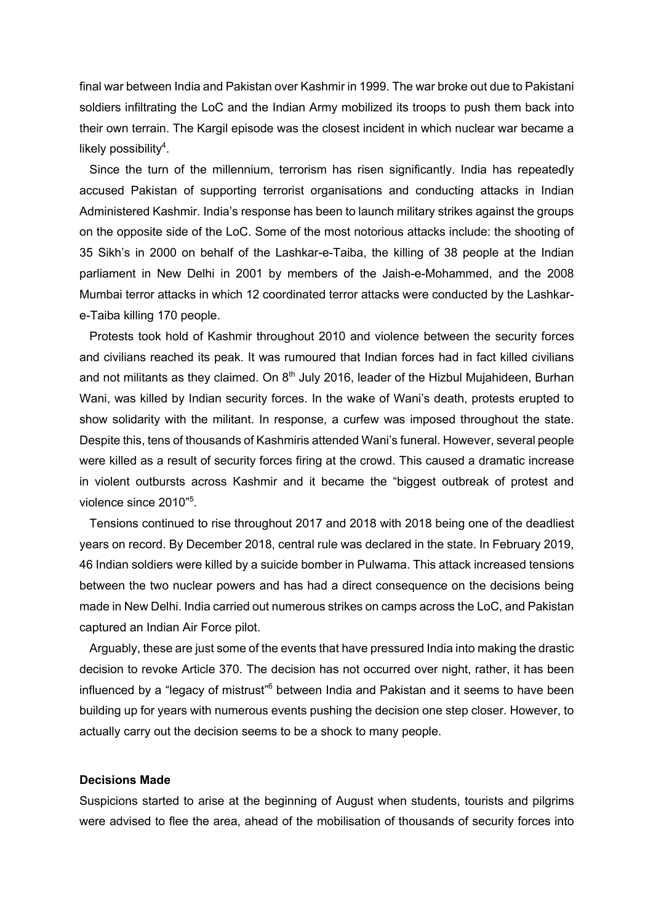final war between India and Pakistan over Kashmir in 1999. The war broke out due to Pakistani soldiers infiltrating the LoC and the Indian Army mobilized its troops to push them back into their own terrain. The Kargil episode was the closest incident in which nuclear war became a likely possibility $4$ .

 Since the turn of the millennium, terrorism has risen significantly. India has repeatedly accused Pakistan of supporting terrorist organisations and conducting attacks in Indian Administered Kashmir. India's response has been to launch military strikes against the groups on the opposite side of the LoC. Some of the most notorious attacks include: the shooting of 35 Sikh's in 2000 on behalf of the Lashkar-e-Taiba, the killing of 38 people at the Indian parliament in New Delhi in 2001 by members of the Jaish-e-Mohammed, and the 2008 Mumbai terror attacks in which 12 coordinated terror attacks were conducted by the Lashkare-Taiba killing 170 people.

 Protests took hold of Kashmir throughout 2010 and violence between the security forces and civilians reached its peak. It was rumoured that Indian forces had in fact killed civilians and not militants as they claimed. On  $8<sup>th</sup>$  July 2016, leader of the Hizbul Mujahideen, Burhan Wani, was killed by Indian security forces. In the wake of Wani's death, protests erupted to show solidarity with the militant. In response, a curfew was imposed throughout the state. Despite this, tens of thousands of Kashmiris attended Wani's funeral. However, several people were killed as a result of security forces firing at the crowd. This caused a dramatic increase in violent outbursts across Kashmir and it became the "biggest outbreak of protest and violence since 2010"<sup>5</sup>.

 Tensions continued to rise throughout 2017 and 2018 with 2018 being one of the deadliest years on record. By December 2018, central rule was declared in the state. In February 2019, 46 Indian soldiers were killed by a suicide bomber in Pulwama. This attack increased tensions between the two nuclear powers and has had a direct consequence on the decisions being made in New Delhi. India carried out numerous strikes on camps across the LoC, and Pakistan captured an Indian Air Force pilot.

 Arguably, these are just some of the events that have pressured India into making the drastic decision to revoke Article 370. The decision has not occurred over night, rather, it has been influenced by a "legacy of mistrust"<sup>6</sup> between India and Pakistan and it seems to have been building up for years with numerous events pushing the decision one step closer. However, to actually carry out the decision seems to be a shock to many people.

#### **Decisions Made**

Suspicions started to arise at the beginning of August when students, tourists and pilgrims were advised to flee the area, ahead of the mobilisation of thousands of security forces into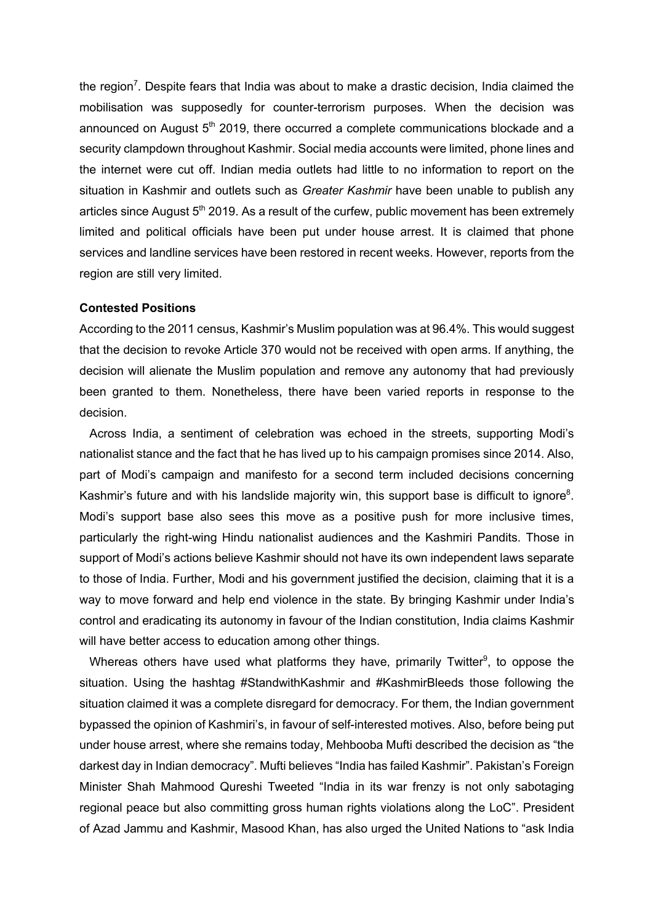the region<sup>7</sup>. Despite fears that India was about to make a drastic decision, India claimed the mobilisation was supposedly for counter-terrorism purposes. When the decision was announced on August  $5<sup>th</sup>$  2019, there occurred a complete communications blockade and a security clampdown throughout Kashmir. Social media accounts were limited, phone lines and the internet were cut off. Indian media outlets had little to no information to report on the situation in Kashmir and outlets such as *Greater Kashmir* have been unable to publish any articles since August  $5<sup>th</sup>$  2019. As a result of the curfew, public movement has been extremely limited and political officials have been put under house arrest. It is claimed that phone services and landline services have been restored in recent weeks. However, reports from the region are still very limited.

## **Contested Positions**

According to the 2011 census, Kashmir's Muslim population was at 96.4%. This would suggest that the decision to revoke Article 370 would not be received with open arms. If anything, the decision will alienate the Muslim population and remove any autonomy that had previously been granted to them. Nonetheless, there have been varied reports in response to the decision.

 Across India, a sentiment of celebration was echoed in the streets, supporting Modi's nationalist stance and the fact that he has lived up to his campaign promises since 2014. Also, part of Modi's campaign and manifesto for a second term included decisions concerning Kashmir's future and with his landslide majority win, this support base is difficult to ignore<sup>8</sup>. Modi's support base also sees this move as a positive push for more inclusive times, particularly the right-wing Hindu nationalist audiences and the Kashmiri Pandits. Those in support of Modi's actions believe Kashmir should not have its own independent laws separate to those of India. Further, Modi and his government justified the decision, claiming that it is a way to move forward and help end violence in the state. By bringing Kashmir under India's control and eradicating its autonomy in favour of the Indian constitution, India claims Kashmir will have better access to education among other things.

Whereas others have used what platforms they have, primarily Twitter $9$ , to oppose the situation. Using the hashtag #StandwithKashmir and #KashmirBleeds those following the situation claimed it was a complete disregard for democracy. For them, the Indian government bypassed the opinion of Kashmiri's, in favour of self-interested motives. Also, before being put under house arrest, where she remains today, Mehbooba Mufti described the decision as "the darkest day in Indian democracy". Mufti believes "India has failed Kashmir". Pakistan's Foreign Minister Shah Mahmood Qureshi Tweeted "India in its war frenzy is not only sabotaging regional peace but also committing gross human rights violations along the LoC". President of Azad Jammu and Kashmir, Masood Khan, has also urged the United Nations to "ask India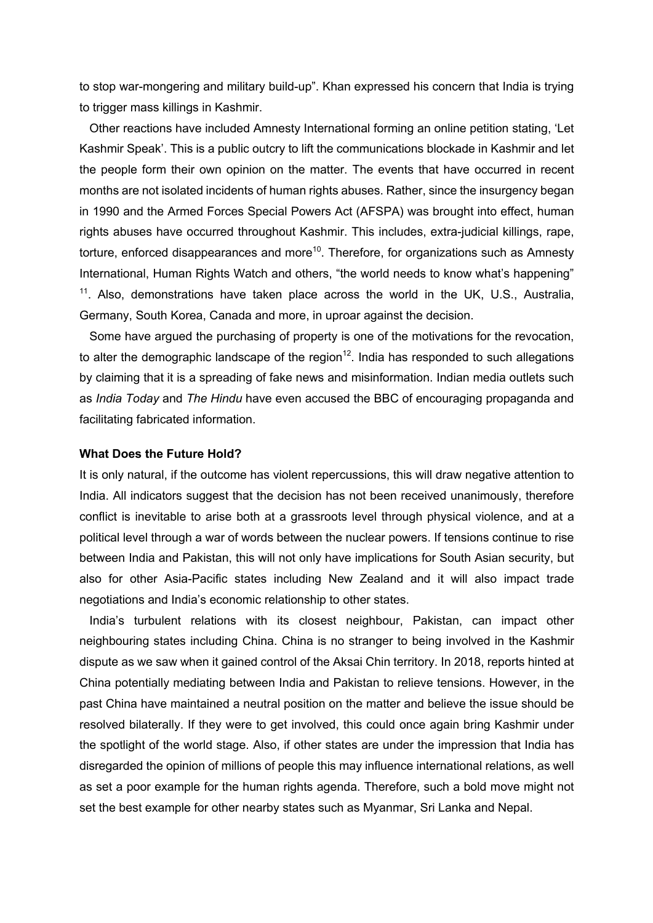to stop war-mongering and military build-up". Khan expressed his concern that India is trying to trigger mass killings in Kashmir.

 Other reactions have included Amnesty International forming an online petition stating, 'Let Kashmir Speak'. This is a public outcry to lift the communications blockade in Kashmir and let the people form their own opinion on the matter. The events that have occurred in recent months are not isolated incidents of human rights abuses. Rather, since the insurgency began in 1990 and the Armed Forces Special Powers Act (AFSPA) was brought into effect, human rights abuses have occurred throughout Kashmir. This includes, extra-judicial killings, rape, torture, enforced disappearances and more<sup>10</sup>. Therefore, for organizations such as Amnesty International, Human Rights Watch and others, "the world needs to know what's happening"  $11$ . Also, demonstrations have taken place across the world in the UK, U.S., Australia, Germany, South Korea, Canada and more, in uproar against the decision.

 Some have argued the purchasing of property is one of the motivations for the revocation, to alter the demographic landscape of the region<sup>12</sup>. India has responded to such allegations by claiming that it is a spreading of fake news and misinformation. Indian media outlets such as *India Today* and *The Hindu* have even accused the BBC of encouraging propaganda and facilitating fabricated information.

# **What Does the Future Hold?**

It is only natural, if the outcome has violent repercussions, this will draw negative attention to India. All indicators suggest that the decision has not been received unanimously, therefore conflict is inevitable to arise both at a grassroots level through physical violence, and at a political level through a war of words between the nuclear powers. If tensions continue to rise between India and Pakistan, this will not only have implications for South Asian security, but also for other Asia-Pacific states including New Zealand and it will also impact trade negotiations and India's economic relationship to other states.

 India's turbulent relations with its closest neighbour, Pakistan, can impact other neighbouring states including China. China is no stranger to being involved in the Kashmir dispute as we saw when it gained control of the Aksai Chin territory. In 2018, reports hinted at China potentially mediating between India and Pakistan to relieve tensions. However, in the past China have maintained a neutral position on the matter and believe the issue should be resolved bilaterally. If they were to get involved, this could once again bring Kashmir under the spotlight of the world stage. Also, if other states are under the impression that India has disregarded the opinion of millions of people this may influence international relations, as well as set a poor example for the human rights agenda. Therefore, such a bold move might not set the best example for other nearby states such as Myanmar, Sri Lanka and Nepal.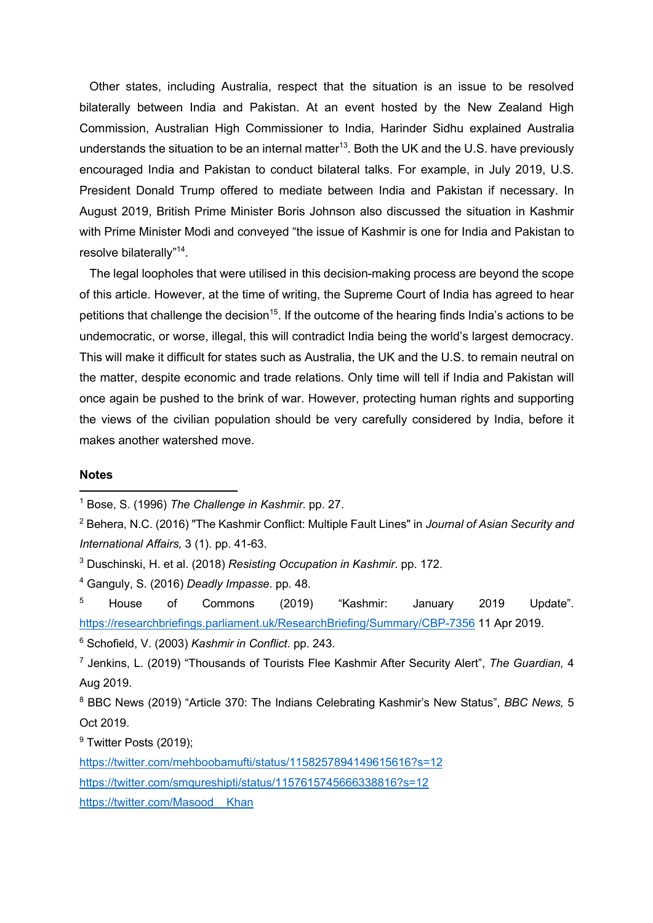Other states, including Australia, respect that the situation is an issue to be resolved bilaterally between India and Pakistan. At an event hosted by the New Zealand High Commission, Australian High Commissioner to India, Harinder Sidhu explained Australia understands the situation to be an internal matter<sup>13</sup>. Both the UK and the U.S. have previously encouraged India and Pakistan to conduct bilateral talks. For example, in July 2019, U.S. President Donald Trump offered to mediate between India and Pakistan if necessary. In August 2019, British Prime Minister Boris Johnson also discussed the situation in Kashmir with Prime Minister Modi and conveyed "the issue of Kashmir is one for India and Pakistan to resolve bilaterally"14.

 The legal loopholes that were utilised in this decision-making process are beyond the scope of this article. However, at the time of writing, the Supreme Court of India has agreed to hear petitions that challenge the decision<sup>15</sup>. If the outcome of the hearing finds India's actions to be undemocratic, or worse, illegal, this will contradict India being the world's largest democracy. This will make it difficult for states such as Australia, the UK and the U.S. to remain neutral on the matter, despite economic and trade relations. Only time will tell if India and Pakistan will once again be pushed to the brink of war. However, protecting human rights and supporting the views of the civilian population should be very carefully considered by India, before it makes another watershed move.

## **Notes**

<sup>9</sup> Twitter Posts (2019):

https://twitter.com/mehboobamufti/status/1158257894149615616?s=12 https://twitter.com/smqureshipti/status/1157615745666338816?s=12 https://twitter.com/Masood Khan

<sup>1</sup> Bose, S. (1996) *The Challenge in Kashmir*. pp. 27.

<sup>2</sup> Behera, N.C. (2016) "The Kashmir Conflict: Multiple Fault Lines" in *Journal of Asian Security and International Affairs,* 3 (1). pp. 41-63.

<sup>3</sup> Duschinski, H. et al. (2018) *Resisting Occupation in Kashmir*. pp. 172.

<sup>4</sup> Ganguly, S. (2016) *Deadly Impasse*. pp. 48.

<sup>&</sup>lt;sup>5</sup> House of Commons (2019) "Kashmir: January 2019 Update". https://researchbriefings.parliament.uk/ResearchBriefing/Summary/CBP-7356 11 Apr 2019.

<sup>6</sup> Schofield, V. (2003) *Kashmir in Conflict*. pp. 243.

<sup>7</sup> Jenkins, L. (2019) "Thousands of Tourists Flee Kashmir After Security Alert", *The Guardian,* 4 Aug 2019.

<sup>8</sup> BBC News (2019) "Article 370: The Indians Celebrating Kashmir's New Status", *BBC News,* 5 Oct 2019.